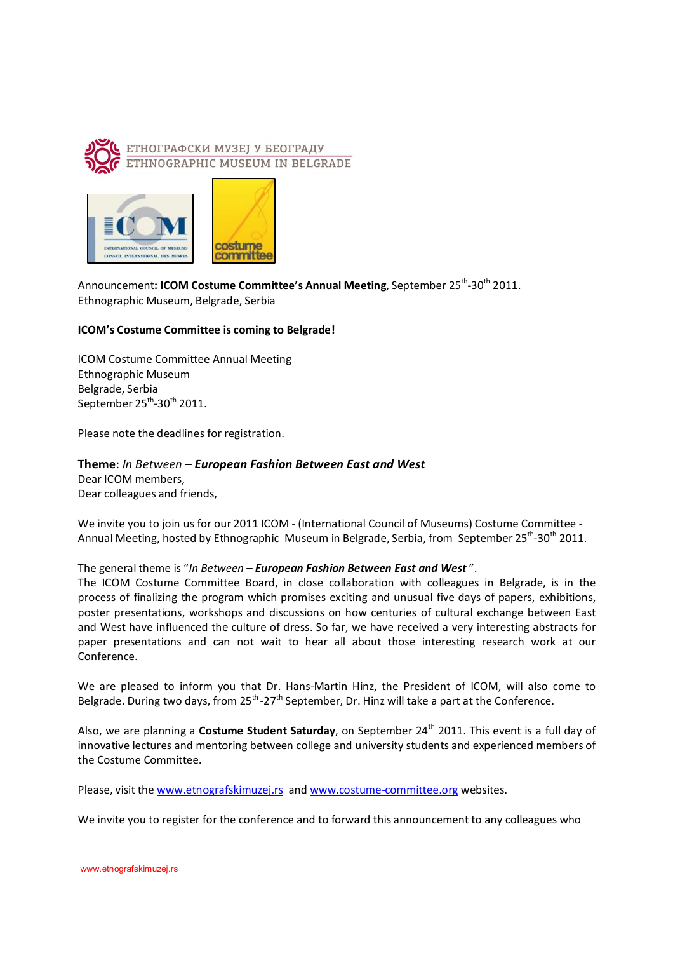



Announcement**: ICOM Costume Committee's Annual Meeting**, September 25<sup>th</sup>-30<sup>th</sup> 2011. Ethnographic Museum, Belgrade, Serbia

## **ICOM's Costume Committee is coming to Belgrade!**

ICOM Costume Committee Annual Meeting Ethnographic Museum Belgrade, Serbia September 25<sup>th</sup>-30<sup>th</sup> 2011.

Please note the deadlines for registration.

## **Theme**: *In Between – European Fashion Between East and West*

Dear ICOM members, Dear colleagues and friends,

We invite you to join us for our 2011 ICOM - (International Council of Museums) Costume Committee - Annual Meeting, hosted by Ethnographic Museum in Belgrade, Serbia, from September 25<sup>th</sup>-30<sup>th</sup> 2011.

## The general theme is "*In Between – European Fashion Between East and West* ".

The ICOM Costume Committee Board, in close collaboration with colleagues in Belgrade, is in the process of finalizing the program which promises exciting and unusual five days of papers, exhibitions, poster presentations, workshops and discussions on how centuries of cultural exchange between East and West have influenced the culture of dress. So far, we have received a very interesting abstracts for paper presentations and can not wait to hear all about those interesting research work at our Conference.

We are pleased to inform you that Dr. Hans-Martin Hinz, the President of ICOM, will also come to Belgrade. During two days, from 25<sup>th</sup> -27<sup>th</sup> September, Dr. Hinz will take a part at the Conference.

Also, we are planning a **Costume Student Saturday**, on September 24<sup>th</sup> 2011. This event is a full day of innovative lectures and mentoring between college and university students and experienced members of the Costume Committee.

Please, visit the www.etnografskimuzej.rs and www.costume-committee.org websites.

We invite you to register for the conference and to forward this announcement to any colleagues who